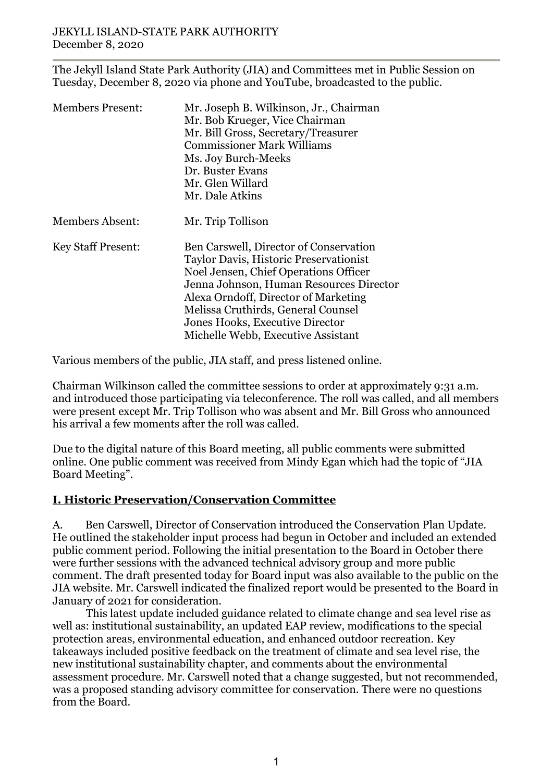The Jekyll Island State Park Authority (JIA) and Committees met in Public Session on Tuesday, December 8, 2020 via phone and YouTube, broadcasted to the public.

| <b>Members Present:</b>   | Mr. Joseph B. Wilkinson, Jr., Chairman<br>Mr. Bob Krueger, Vice Chairman<br>Mr. Bill Gross, Secretary/Treasurer<br><b>Commissioner Mark Williams</b><br>Ms. Joy Burch-Meeks<br>Dr. Buster Evans<br>Mr. Glen Willard<br>Mr. Dale Atkins                                                                                      |
|---------------------------|-----------------------------------------------------------------------------------------------------------------------------------------------------------------------------------------------------------------------------------------------------------------------------------------------------------------------------|
| <b>Members Absent:</b>    | Mr. Trip Tollison                                                                                                                                                                                                                                                                                                           |
| <b>Key Staff Present:</b> | Ben Carswell, Director of Conservation<br>Taylor Davis, Historic Preservationist<br>Noel Jensen, Chief Operations Officer<br>Jenna Johnson, Human Resources Director<br>Alexa Orndoff, Director of Marketing<br>Melissa Cruthirds, General Counsel<br>Jones Hooks, Executive Director<br>Michelle Webb, Executive Assistant |

Various members of the public, JIA staff, and press listened online.

Chairman Wilkinson called the committee sessions to order at approximately 9:31 a.m. and introduced those participating via teleconference. The roll was called, and all members were present except Mr. Trip Tollison who was absent and Mr. Bill Gross who announced his arrival a few moments after the roll was called.

Due to the digital nature of this Board meeting, all public comments were submitted online. One public comment was received from Mindy Egan which had the topic of "JIA Board Meeting".

# **I. Historic Preservation/Conservation Committee**

A. Ben Carswell, Director of Conservation introduced the Conservation Plan Update. He outlined the stakeholder input process had begun in October and included an extended public comment period. Following the initial presentation to the Board in October there were further sessions with the advanced technical advisory group and more public comment. The draft presented today for Board input was also available to the public on the JIA website. Mr. Carswell indicated the finalized report would be presented to the Board in January of 2021 for consideration.

This latest update included guidance related to climate change and sea level rise as well as: institutional sustainability, an updated EAP review, modifications to the special protection areas, environmental education, and enhanced outdoor recreation. Key takeaways included positive feedback on the treatment of climate and sea level rise, the new institutional sustainability chapter, and comments about the environmental assessment procedure. Mr. Carswell noted that a change suggested, but not recommended, was a proposed standing advisory committee for conservation. There were no questions from the Board.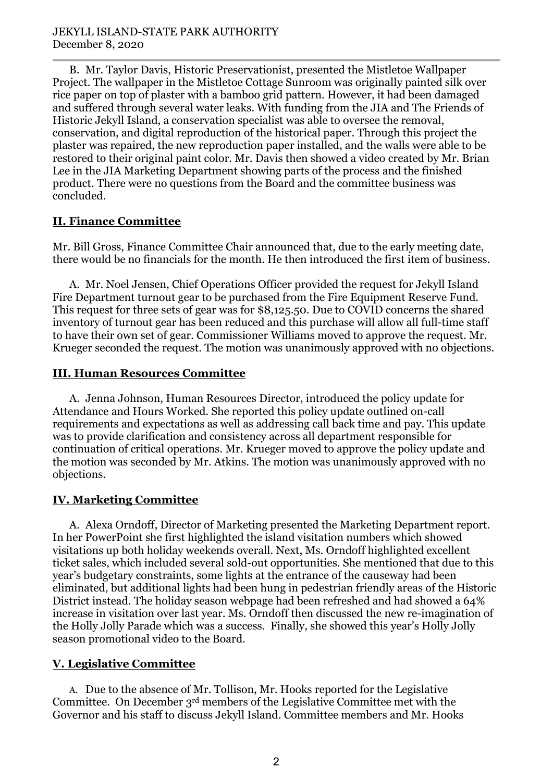B. Mr. Taylor Davis, Historic Preservationist, presented the Mistletoe Wallpaper Project. The wallpaper in the Mistletoe Cottage Sunroom was originally painted silk over rice paper on top of plaster with a bamboo grid pattern. However, it had been damaged and suffered through several water leaks. With funding from the JIA and The Friends of Historic Jekyll Island, a conservation specialist was able to oversee the removal, conservation, and digital reproduction of the historical paper. Through this project the plaster was repaired, the new reproduction paper installed, and the walls were able to be restored to their original paint color. Mr. Davis then showed a video created by Mr. Brian Lee in the JIA Marketing Department showing parts of the process and the finished product. There were no questions from the Board and the committee business was concluded.

### **II. Finance Committee**

Mr. Bill Gross, Finance Committee Chair announced that, due to the early meeting date, there would be no financials for the month. He then introduced the first item of business.

A. Mr. Noel Jensen, Chief Operations Officer provided the request for Jekyll Island Fire Department turnout gear to be purchased from the Fire Equipment Reserve Fund. This request for three sets of gear was for \$8,125.50. Due to COVID concerns the shared inventory of turnout gear has been reduced and this purchase will allow all full-time staff to have their own set of gear. Commissioner Williams moved to approve the request. Mr. Krueger seconded the request. The motion was unanimously approved with no objections.

### **III. Human Resources Committee**

A. Jenna Johnson, Human Resources Director, introduced the policy update for Attendance and Hours Worked. She reported this policy update outlined on-call requirements and expectations as well as addressing call back time and pay. This update was to provide clarification and consistency across all department responsible for continuation of critical operations. Mr. Krueger moved to approve the policy update and the motion was seconded by Mr. Atkins. The motion was unanimously approved with no objections.

# **IV. Marketing Committee**

A. Alexa Orndoff, Director of Marketing presented the Marketing Department report. In her PowerPoint she first highlighted the island visitation numbers which showed visitations up both holiday weekends overall. Next, Ms. Orndoff highlighted excellent ticket sales, which included several sold-out opportunities. She mentioned that due to this year's budgetary constraints, some lights at the entrance of the causeway had been eliminated, but additional lights had been hung in pedestrian friendly areas of the Historic District instead. The holiday season webpage had been refreshed and had showed a 64% increase in visitation over last year. Ms. Orndoff then discussed the new re-imagination of the Holly Jolly Parade which was a success. Finally, she showed this year's Holly Jolly season promotional video to the Board.

# **V. Legislative Committee**

A. Due to the absence of Mr. Tollison, Mr. Hooks reported for the Legislative Committee. On December 3rd members of the Legislative Committee met with the Governor and his staff to discuss Jekyll Island. Committee members and Mr. Hooks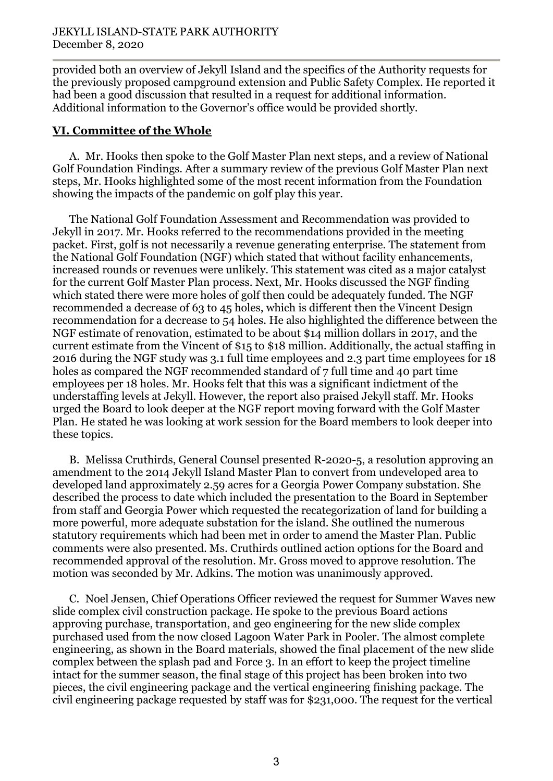provided both an overview of Jekyll Island and the specifics of the Authority requests for the previously proposed campground extension and Public Safety Complex. He reported it had been a good discussion that resulted in a request for additional information. Additional information to the Governor's office would be provided shortly.

#### **VI. Committee of the Whole**

A. Mr. Hooks then spoke to the Golf Master Plan next steps, and a review of National Golf Foundation Findings. After a summary review of the previous Golf Master Plan next steps, Mr. Hooks highlighted some of the most recent information from the Foundation showing the impacts of the pandemic on golf play this year.

The National Golf Foundation Assessment and Recommendation was provided to Jekyll in 2017. Mr. Hooks referred to the recommendations provided in the meeting packet. First, golf is not necessarily a revenue generating enterprise. The statement from the National Golf Foundation (NGF) which stated that without facility enhancements, increased rounds or revenues were unlikely. This statement was cited as a major catalyst for the current Golf Master Plan process. Next, Mr. Hooks discussed the NGF finding which stated there were more holes of golf then could be adequately funded. The NGF recommended a decrease of 63 to 45 holes, which is different then the Vincent Design recommendation for a decrease to 54 holes. He also highlighted the difference between the NGF estimate of renovation, estimated to be about \$14 million dollars in 2017, and the current estimate from the Vincent of \$15 to \$18 million. Additionally, the actual staffing in 2016 during the NGF study was 3.1 full time employees and 2.3 part time employees for 18 holes as compared the NGF recommended standard of 7 full time and 40 part time employees per 18 holes. Mr. Hooks felt that this was a significant indictment of the understaffing levels at Jekyll. However, the report also praised Jekyll staff. Mr. Hooks urged the Board to look deeper at the NGF report moving forward with the Golf Master Plan. He stated he was looking at work session for the Board members to look deeper into these topics.

B. Melissa Cruthirds, General Counsel presented R-2020-5, a resolution approving an amendment to the 2014 Jekyll Island Master Plan to convert from undeveloped area to developed land approximately 2.59 acres for a Georgia Power Company substation. She described the process to date which included the presentation to the Board in September from staff and Georgia Power which requested the recategorization of land for building a more powerful, more adequate substation for the island. She outlined the numerous statutory requirements which had been met in order to amend the Master Plan. Public comments were also presented. Ms. Cruthirds outlined action options for the Board and recommended approval of the resolution. Mr. Gross moved to approve resolution. The motion was seconded by Mr. Adkins. The motion was unanimously approved.

C. Noel Jensen, Chief Operations Officer reviewed the request for Summer Waves new slide complex civil construction package. He spoke to the previous Board actions approving purchase, transportation, and geo engineering for the new slide complex purchased used from the now closed Lagoon Water Park in Pooler. The almost complete engineering, as shown in the Board materials, showed the final placement of the new slide complex between the splash pad and Force 3. In an effort to keep the project timeline intact for the summer season, the final stage of this project has been broken into two pieces, the civil engineering package and the vertical engineering finishing package. The civil engineering package requested by staff was for \$231,000. The request for the vertical